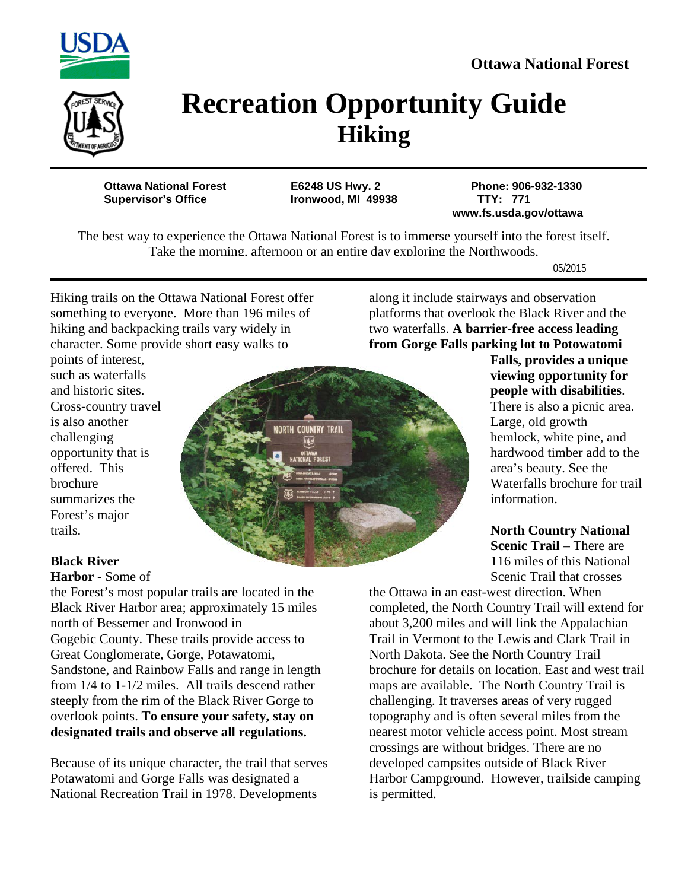



## **Recreation Opportunity Guide Hiking**

Ironwood, MI 49938

**Ottawa National Forest E6248 US Hwy. 2 Phone: 906-932-1330 www.fs.usda.gov/ottawa**

The best way to experience the Ottawa National Forest is to immerse yourself into the forest itself. Take the morning, afternoon or an entire day exploring the Northwoods.

05/2015

Hiking trails on the Ottawa National Forest offer something to everyone. More than 196 miles of hiking and backpacking trails vary widely in character. Some provide short easy walks to

along it include stairways and observation platforms that overlook the Black River and the two waterfalls. **A barrier-free access leading from Gorge Falls parking lot to Potowatomi** 

points of interest, such as waterfalls and historic sites. Cross-country travel is also another challenging opportunity that is offered. This brochure summarizes the Forest's major trails.



## **Falls, provides a unique viewing opportunity for people with disabilities**. There is also a picnic area. Large, old growth hemlock, white pine, and hardwood timber add to the area's beauty. See the Waterfalls brochure for trail information.

**North Country National Scenic Trail – There are** 116 miles of this National Scenic Trail that crosses

## **Black River**

**Harbor** - Some of

the Forest's most popular trails are located in the Black River Harbor area; approximately 15 miles north of Bessemer and Ironwood in Gogebic County. These trails provide access to Great Conglomerate, Gorge, Potawatomi, Sandstone, and Rainbow Falls and range in length from 1/4 to 1-1/2 miles. All trails descend rather steeply from the rim of the Black River Gorge to overlook points. **To ensure your safety, stay on designated trails and observe all regulations.**

Because of its unique character, the trail that serves Potawatomi and Gorge Falls was designated a National Recreation Trail in 1978. Developments

the Ottawa in an east-west direction. When completed, the North Country Trail will extend for about 3,200 miles and will link the Appalachian Trail in Vermont to the Lewis and Clark Trail in North Dakota. See the North Country Trail brochure for details on location. East and west trail maps are available. The North Country Trail is challenging. It traverses areas of very rugged topography and is often several miles from the nearest motor vehicle access point. Most stream crossings are without bridges. There are no developed campsites outside of Black River Harbor Campground. However, trailside camping is permitted.